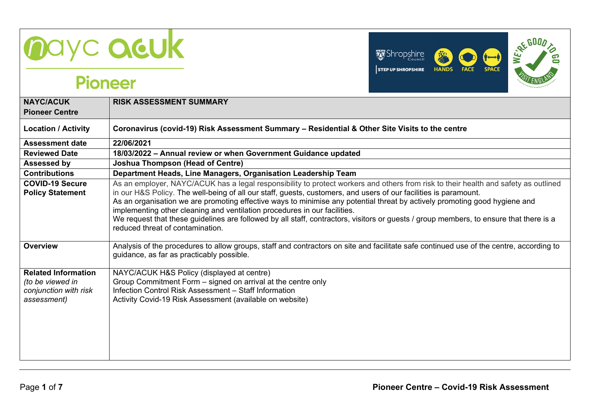



| <b>NAYC/ACUK</b>                                                                       | <b>RISK ASSESSMENT SUMMARY</b>                                                                                                                                                                                                                                                                                                                                                                                                                                                                                                                                                                                                                   |
|----------------------------------------------------------------------------------------|--------------------------------------------------------------------------------------------------------------------------------------------------------------------------------------------------------------------------------------------------------------------------------------------------------------------------------------------------------------------------------------------------------------------------------------------------------------------------------------------------------------------------------------------------------------------------------------------------------------------------------------------------|
| <b>Pioneer Centre</b>                                                                  |                                                                                                                                                                                                                                                                                                                                                                                                                                                                                                                                                                                                                                                  |
| <b>Location / Activity</b>                                                             | Coronavirus (covid-19) Risk Assessment Summary - Residential & Other Site Visits to the centre                                                                                                                                                                                                                                                                                                                                                                                                                                                                                                                                                   |
| <b>Assessment date</b>                                                                 | 22/06/2021                                                                                                                                                                                                                                                                                                                                                                                                                                                                                                                                                                                                                                       |
| <b>Reviewed Date</b>                                                                   | 18/03/2022 - Annual review or when Government Guidance updated                                                                                                                                                                                                                                                                                                                                                                                                                                                                                                                                                                                   |
| <b>Assessed by</b>                                                                     | <b>Joshua Thompson (Head of Centre)</b>                                                                                                                                                                                                                                                                                                                                                                                                                                                                                                                                                                                                          |
| <b>Contributions</b>                                                                   | Department Heads, Line Managers, Organisation Leadership Team                                                                                                                                                                                                                                                                                                                                                                                                                                                                                                                                                                                    |
| <b>COVID-19 Secure</b><br><b>Policy Statement</b>                                      | As an employer, NAYC/ACUK has a legal responsibility to protect workers and others from risk to their health and safety as outlined<br>in our H&S Policy. The well-being of all our staff, guests, customers, and users of our facilities is paramount.<br>As an organisation we are promoting effective ways to minimise any potential threat by actively promoting good hygiene and<br>implementing other cleaning and ventilation procedures in our facilities.<br>We request that these guidelines are followed by all staff, contractors, visitors or guests / group members, to ensure that there is a<br>reduced threat of contamination. |
| Overview                                                                               | Analysis of the procedures to allow groups, staff and contractors on site and facilitate safe continued use of the centre, according to<br>guidance, as far as practicably possible.                                                                                                                                                                                                                                                                                                                                                                                                                                                             |
| <b>Related Information</b><br>(to be viewed in<br>conjunction with risk<br>assessment) | NAYC/ACUK H&S Policy (displayed at centre)<br>Group Commitment Form – signed on arrival at the centre only<br>Infection Control Risk Assessment - Staff Information<br>Activity Covid-19 Risk Assessment (available on website)                                                                                                                                                                                                                                                                                                                                                                                                                  |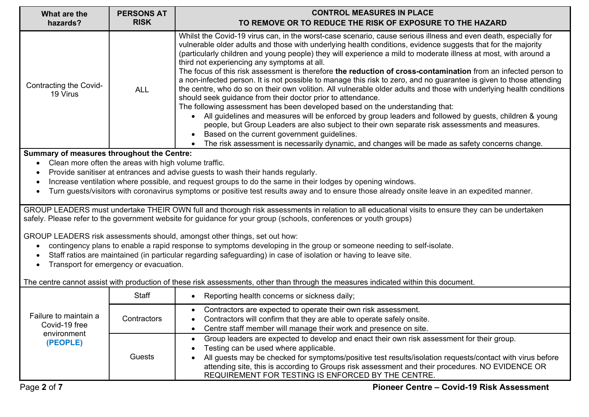| What are the<br>hazards?                                                                                                                                                                                                                                              | <b>PERSONS AT</b><br><b>RISK</b>                     | <b>CONTROL MEASURES IN PLACE</b><br>TO REMOVE OR TO REDUCE THE RISK OF EXPOSURE TO THE HAZARD                                                                                                                                                                                                                                                                                                                                                                                                                                                                                                                                                                                                                                                                                                                                                                                                                                                                                                                                                                                                                                                                                                                                                                                    |
|-----------------------------------------------------------------------------------------------------------------------------------------------------------------------------------------------------------------------------------------------------------------------|------------------------------------------------------|----------------------------------------------------------------------------------------------------------------------------------------------------------------------------------------------------------------------------------------------------------------------------------------------------------------------------------------------------------------------------------------------------------------------------------------------------------------------------------------------------------------------------------------------------------------------------------------------------------------------------------------------------------------------------------------------------------------------------------------------------------------------------------------------------------------------------------------------------------------------------------------------------------------------------------------------------------------------------------------------------------------------------------------------------------------------------------------------------------------------------------------------------------------------------------------------------------------------------------------------------------------------------------|
| Contracting the Covid-<br>19 Virus                                                                                                                                                                                                                                    | <b>ALL</b>                                           | Whilst the Covid-19 virus can, in the worst-case scenario, cause serious illness and even death, especially for<br>vulnerable older adults and those with underlying health conditions, evidence suggests that for the majority<br>(particularly children and young people) they will experience a mild to moderate illness at most, with around a<br>third not experiencing any symptoms at all.<br>The focus of this risk assessment is therefore the reduction of cross-contamination from an infected person to<br>a non-infected person. It is not possible to manage this risk to zero, and no guarantee is given to those attending<br>the centre, who do so on their own volition. All vulnerable older adults and those with underlying health conditions<br>should seek guidance from their doctor prior to attendance.<br>The following assessment has been developed based on the understanding that:<br>All guidelines and measures will be enforced by group leaders and followed by guests, children & young<br>people, but Group Leaders are also subject to their own separate risk assessments and measures.<br>Based on the current government guidelines.<br>The risk assessment is necessarily dynamic, and changes will be made as safety concerns change. |
| Summary of measures throughout the Centre:                                                                                                                                                                                                                            |                                                      |                                                                                                                                                                                                                                                                                                                                                                                                                                                                                                                                                                                                                                                                                                                                                                                                                                                                                                                                                                                                                                                                                                                                                                                                                                                                                  |
|                                                                                                                                                                                                                                                                       | Clean more often the areas with high volume traffic. | Provide sanitiser at entrances and advise guests to wash their hands regularly.                                                                                                                                                                                                                                                                                                                                                                                                                                                                                                                                                                                                                                                                                                                                                                                                                                                                                                                                                                                                                                                                                                                                                                                                  |
|                                                                                                                                                                                                                                                                       |                                                      | Increase ventilation where possible, and request groups to do the same in their lodges by opening windows.                                                                                                                                                                                                                                                                                                                                                                                                                                                                                                                                                                                                                                                                                                                                                                                                                                                                                                                                                                                                                                                                                                                                                                       |
|                                                                                                                                                                                                                                                                       |                                                      | Turn guests/visitors with coronavirus symptoms or positive test results away and to ensure those already onsite leave in an expedited manner.                                                                                                                                                                                                                                                                                                                                                                                                                                                                                                                                                                                                                                                                                                                                                                                                                                                                                                                                                                                                                                                                                                                                    |
| GROUP LEADERS must undertake THEIR OWN full and thorough risk assessments in relation to all educational visits to ensure they can be undertaken<br>safely. Please refer to the government website for guidance for your group (schools, conferences or youth groups) |                                                      |                                                                                                                                                                                                                                                                                                                                                                                                                                                                                                                                                                                                                                                                                                                                                                                                                                                                                                                                                                                                                                                                                                                                                                                                                                                                                  |
|                                                                                                                                                                                                                                                                       |                                                      | GROUP LEADERS risk assessments should, amongst other things, set out how:                                                                                                                                                                                                                                                                                                                                                                                                                                                                                                                                                                                                                                                                                                                                                                                                                                                                                                                                                                                                                                                                                                                                                                                                        |
|                                                                                                                                                                                                                                                                       |                                                      | contingency plans to enable a rapid response to symptoms developing in the group or someone needing to self-isolate.                                                                                                                                                                                                                                                                                                                                                                                                                                                                                                                                                                                                                                                                                                                                                                                                                                                                                                                                                                                                                                                                                                                                                             |
|                                                                                                                                                                                                                                                                       | Transport for emergency or evacuation.               | Staff ratios are maintained (in particular regarding safeguarding) in case of isolation or having to leave site.                                                                                                                                                                                                                                                                                                                                                                                                                                                                                                                                                                                                                                                                                                                                                                                                                                                                                                                                                                                                                                                                                                                                                                 |
|                                                                                                                                                                                                                                                                       |                                                      |                                                                                                                                                                                                                                                                                                                                                                                                                                                                                                                                                                                                                                                                                                                                                                                                                                                                                                                                                                                                                                                                                                                                                                                                                                                                                  |
|                                                                                                                                                                                                                                                                       |                                                      | The centre cannot assist with production of these risk assessments, other than through the measures indicated within this document.                                                                                                                                                                                                                                                                                                                                                                                                                                                                                                                                                                                                                                                                                                                                                                                                                                                                                                                                                                                                                                                                                                                                              |
|                                                                                                                                                                                                                                                                       | <b>Staff</b>                                         | Reporting health concerns or sickness daily;                                                                                                                                                                                                                                                                                                                                                                                                                                                                                                                                                                                                                                                                                                                                                                                                                                                                                                                                                                                                                                                                                                                                                                                                                                     |
| Failure to maintain a                                                                                                                                                                                                                                                 | Contractors                                          | Contractors are expected to operate their own risk assessment.                                                                                                                                                                                                                                                                                                                                                                                                                                                                                                                                                                                                                                                                                                                                                                                                                                                                                                                                                                                                                                                                                                                                                                                                                   |
| Covid-19 free                                                                                                                                                                                                                                                         |                                                      | Contractors will confirm that they are able to operate safely onsite.<br>Centre staff member will manage their work and presence on site.                                                                                                                                                                                                                                                                                                                                                                                                                                                                                                                                                                                                                                                                                                                                                                                                                                                                                                                                                                                                                                                                                                                                        |
| environment                                                                                                                                                                                                                                                           |                                                      | Group leaders are expected to develop and enact their own risk assessment for their group.                                                                                                                                                                                                                                                                                                                                                                                                                                                                                                                                                                                                                                                                                                                                                                                                                                                                                                                                                                                                                                                                                                                                                                                       |
| (PEOPLE)                                                                                                                                                                                                                                                              | Guests                                               | Testing can be used where applicable.                                                                                                                                                                                                                                                                                                                                                                                                                                                                                                                                                                                                                                                                                                                                                                                                                                                                                                                                                                                                                                                                                                                                                                                                                                            |
|                                                                                                                                                                                                                                                                       |                                                      | All guests may be checked for symptoms/positive test results/isolation requests/contact with virus before                                                                                                                                                                                                                                                                                                                                                                                                                                                                                                                                                                                                                                                                                                                                                                                                                                                                                                                                                                                                                                                                                                                                                                        |
|                                                                                                                                                                                                                                                                       |                                                      | attending site, this is according to Groups risk assessment and their procedures. NO EVIDENCE OR<br>REQUIREMENT FOR TESTING IS ENFORCED BY THE CENTRE.                                                                                                                                                                                                                                                                                                                                                                                                                                                                                                                                                                                                                                                                                                                                                                                                                                                                                                                                                                                                                                                                                                                           |
|                                                                                                                                                                                                                                                                       |                                                      |                                                                                                                                                                                                                                                                                                                                                                                                                                                                                                                                                                                                                                                                                                                                                                                                                                                                                                                                                                                                                                                                                                                                                                                                                                                                                  |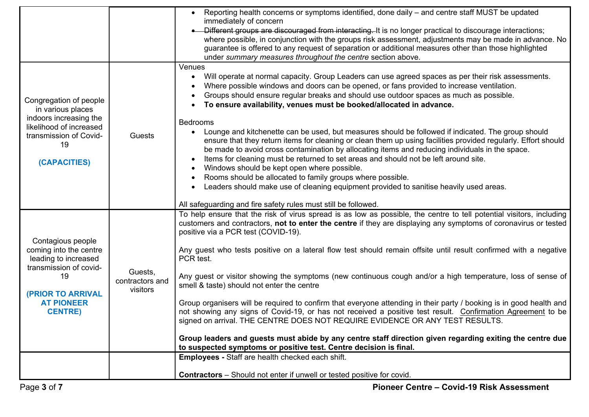|                                                                                                                                                                        |                                        | <b>Employees - Staff are health checked each shift.</b><br><b>Contractors</b> – Should not enter if unwell or tested positive for covid.                                                                                                                                                                                                                                                                                                                                                                                                                                                                                                                                                                                                                                                                                                                                                                                                                                                                                                                                                                                                                    |
|------------------------------------------------------------------------------------------------------------------------------------------------------------------------|----------------------------------------|-------------------------------------------------------------------------------------------------------------------------------------------------------------------------------------------------------------------------------------------------------------------------------------------------------------------------------------------------------------------------------------------------------------------------------------------------------------------------------------------------------------------------------------------------------------------------------------------------------------------------------------------------------------------------------------------------------------------------------------------------------------------------------------------------------------------------------------------------------------------------------------------------------------------------------------------------------------------------------------------------------------------------------------------------------------------------------------------------------------------------------------------------------------|
| Contagious people<br>coming into the centre<br>leading to increased<br>transmission of covid-<br>19<br><b>(PRIOR TO ARRIVAL</b><br><b>AT PIONEER</b><br><b>CENTRE)</b> | Guests,<br>contractors and<br>visitors | To help ensure that the risk of virus spread is as low as possible, the centre to tell potential visitors, including<br>customers and contractors, not to enter the centre if they are displaying any symptoms of coronavirus or tested<br>positive via a PCR test (COVID-19).<br>Any guest who tests positive on a lateral flow test should remain offsite until result confirmed with a negative<br>PCR test.<br>Any guest or visitor showing the symptoms (new continuous cough and/or a high temperature, loss of sense of<br>smell & taste) should not enter the centre<br>Group organisers will be required to confirm that everyone attending in their party / booking is in good health and<br>not showing any signs of Covid-19, or has not received a positive test result. Confirmation Agreement to be<br>signed on arrival. THE CENTRE DOES NOT REQUIRE EVIDENCE OR ANY TEST RESULTS.<br>Group leaders and guests must abide by any centre staff direction given regarding exiting the centre due<br>to suspected symptoms or positive test. Centre decision is final.                                                                         |
| Congregation of people<br>in various places<br>indoors increasing the<br>likelihood of increased<br>transmission of Covid-<br>19<br>(CAPACITIES)                       | Guests                                 | Venues<br>Will operate at normal capacity. Group Leaders can use agreed spaces as per their risk assessments.<br>$\bullet$<br>Where possible windows and doors can be opened, or fans provided to increase ventilation.<br>Groups should ensure regular breaks and should use outdoor spaces as much as possible.<br>To ensure availability, venues must be booked/allocated in advance.<br><b>Bedrooms</b><br>Lounge and kitchenette can be used, but measures should be followed if indicated. The group should<br>$\bullet$<br>ensure that they return items for cleaning or clean them up using facilities provided regularly. Effort should<br>be made to avoid cross contamination by allocating items and reducing individuals in the space.<br>Items for cleaning must be returned to set areas and should not be left around site.<br>$\bullet$<br>Windows should be kept open where possible.<br>$\bullet$<br>Rooms should be allocated to family groups where possible.<br>$\bullet$<br>Leaders should make use of cleaning equipment provided to sanitise heavily used areas.<br>All safeguarding and fire safety rules must still be followed. |
|                                                                                                                                                                        |                                        | Reporting health concerns or symptoms identified, done daily – and centre staff MUST be updated<br>immediately of concern<br>Different groups are discouraged from interacting. It is no longer practical to discourage interactions;<br>where possible, in conjunction with the groups risk assessment, adjustments may be made in advance. No<br>guarantee is offered to any request of separation or additional measures other than those highlighted<br>under summary measures throughout the centre section above.                                                                                                                                                                                                                                                                                                                                                                                                                                                                                                                                                                                                                                     |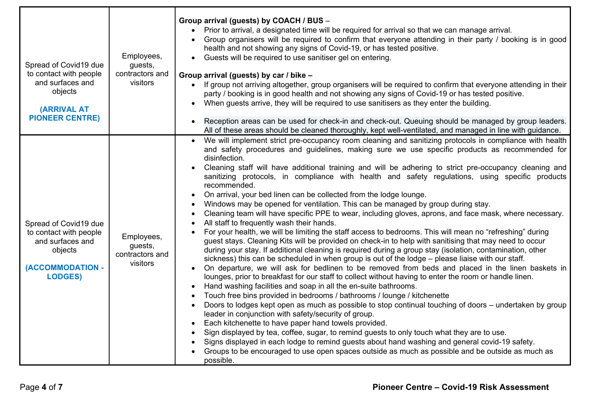| Spread of Covid19 due<br>to contact with people<br>and surfaces and<br>objects<br><b>(ARRIVAL AT</b><br><b>PIONEER CENTRE)</b> | Employees,<br>guests,<br>contractors and<br>visitors | Group arrival (guests) by COACH / BUS -<br>Prior to arrival, a designated time will be required for arrival so that we can manage arrival.<br>Group organisers will be required to confirm that everyone attending in their party / booking is in good<br>health and not showing any signs of Covid-19, or has tested positive.<br>Guests will be required to use sanitiser gel on entering.<br>Group arrival (guests) by car / bike -<br>If group not arriving altogether, group organisers will be required to confirm that everyone attending in their<br>party / booking is in good health and not showing any signs of Covid-19 or has tested positive.<br>When guests arrive, they will be required to use sanitisers as they enter the building.<br>$\bullet$<br>Reception areas can be used for check-in and check-out. Queuing should be managed by group leaders.<br>All of these areas should be cleaned thoroughly, kept well-ventilated, and managed in line with guidance.                                                                                                                                                                                                                                                                                                                                                                                                                                                                                                                                                                                                                                                                                                                                                                                                                                                                                                                                                                                                                                                                                                                                               |
|--------------------------------------------------------------------------------------------------------------------------------|------------------------------------------------------|----------------------------------------------------------------------------------------------------------------------------------------------------------------------------------------------------------------------------------------------------------------------------------------------------------------------------------------------------------------------------------------------------------------------------------------------------------------------------------------------------------------------------------------------------------------------------------------------------------------------------------------------------------------------------------------------------------------------------------------------------------------------------------------------------------------------------------------------------------------------------------------------------------------------------------------------------------------------------------------------------------------------------------------------------------------------------------------------------------------------------------------------------------------------------------------------------------------------------------------------------------------------------------------------------------------------------------------------------------------------------------------------------------------------------------------------------------------------------------------------------------------------------------------------------------------------------------------------------------------------------------------------------------------------------------------------------------------------------------------------------------------------------------------------------------------------------------------------------------------------------------------------------------------------------------------------------------------------------------------------------------------------------------------------------------------------------------------------------------------------------------------|
| Spread of Covid19 due<br>to contact with people<br>and surfaces and<br>objects<br>(ACCOMMODATION -<br><b>LODGES)</b>           | Employees,<br>guests,<br>contractors and<br>visitors | We will implement strict pre-occupancy room cleaning and sanitizing protocols in compliance with health<br>and safety procedures and guidelines, making sure we use specific products as recommended for<br>disinfection.<br>Cleaning staff will have additional training and will be adhering to strict pre-occupancy cleaning and<br>sanitizing protocols, in compliance with health and safety regulations, using specific products<br>recommended.<br>On arrival, your bed linen can be collected from the lodge lounge.<br>Windows may be opened for ventilation. This can be managed by group during stay.<br>Cleaning team will have specific PPE to wear, including gloves, aprons, and face mask, where necessary.<br>All staff to frequently wash their hands.<br>For your health, we will be limiting the staff access to bedrooms. This will mean no "refreshing" during<br>guest stays. Cleaning Kits will be provided on check-in to help with sanitising that may need to occur<br>during your stay. If additional cleaning is required during a group stay (isolation, contamination, other<br>sickness) this can be scheduled in when group is out of the lodge - please liaise with our staff.<br>On departure, we will ask for bedlinen to be removed from beds and placed in the linen baskets in<br>lounges, prior to breakfast for our staff to collect without having to enter the room or handle linen.<br>Hand washing facilities and soap in all the en-suite bathrooms.<br>Touch free bins provided in bedrooms / bathrooms / lounge / kitchenette<br>Doors to lodges kept open as much as possible to stop continual touching of doors – undertaken by group<br>leader in conjunction with safety/security of group.<br>Each kitchenette to have paper hand towels provided.<br>$\bullet$<br>Sign displayed by tea, coffee, sugar, to remind guests to only touch what they are to use.<br>Signs displayed in each lodge to remind guests about hand washing and general covid-19 safety.<br>Groups to be encouraged to use open spaces outside as much as possible and be outside as much as<br>possible. |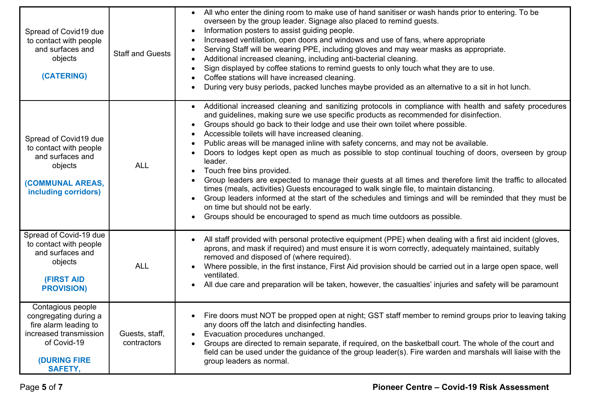| Spread of Covid19 due<br>to contact with people<br>and surfaces and<br>objects<br>(CATERING)                                                          | <b>Staff and Guests</b>       | All who enter the dining room to make use of hand sanitiser or wash hands prior to entering. To be<br>overseen by the group leader. Signage also placed to remind guests.<br>Information posters to assist guiding people.<br>$\bullet$<br>Increased ventilation, open doors and windows and use of fans, where appropriate<br>Serving Staff will be wearing PPE, including gloves and may wear masks as appropriate.<br>$\bullet$<br>Additional increased cleaning, including anti-bacterial cleaning.<br>$\bullet$<br>Sign displayed by coffee stations to remind guests to only touch what they are to use.<br>$\bullet$<br>Coffee stations will have increased cleaning.<br>$\bullet$<br>During very busy periods, packed lunches maybe provided as an alternative to a sit in hot lunch.                                                                                                                                                                                                                                                                                     |
|-------------------------------------------------------------------------------------------------------------------------------------------------------|-------------------------------|-----------------------------------------------------------------------------------------------------------------------------------------------------------------------------------------------------------------------------------------------------------------------------------------------------------------------------------------------------------------------------------------------------------------------------------------------------------------------------------------------------------------------------------------------------------------------------------------------------------------------------------------------------------------------------------------------------------------------------------------------------------------------------------------------------------------------------------------------------------------------------------------------------------------------------------------------------------------------------------------------------------------------------------------------------------------------------------|
| Spread of Covid19 due<br>to contact with people<br>and surfaces and<br>objects<br>(COMMUNAL AREAS,<br>including corridors)                            | <b>ALL</b>                    | Additional increased cleaning and sanitizing protocols in compliance with health and safety procedures<br>and guidelines, making sure we use specific products as recommended for disinfection.<br>Groups should go back to their lodge and use their own toilet where possible.<br>$\bullet$<br>Accessible toilets will have increased cleaning.<br>$\bullet$<br>Public areas will be managed inline with safety concerns, and may not be available.<br>$\bullet$<br>Doors to lodges kept open as much as possible to stop continual touching of doors, overseen by group<br>$\bullet$<br>leader.<br>Touch free bins provided.<br>$\bullet$<br>Group leaders are expected to manage their guests at all times and therefore limit the traffic to allocated<br>times (meals, activities) Guests encouraged to walk single file, to maintain distancing.<br>Group leaders informed at the start of the schedules and timings and will be reminded that they must be<br>on time but should not be early.<br>Groups should be encouraged to spend as much time outdoors as possible. |
| Spread of Covid-19 due<br>to contact with people<br>and surfaces and<br>objects<br><b>(FIRST AID</b><br><b>PROVISION)</b>                             | <b>ALL</b>                    | All staff provided with personal protective equipment (PPE) when dealing with a first aid incident (gloves,<br>$\bullet$<br>aprons, and mask if required) and must ensure it is worn correctly, adequately maintained, suitably<br>removed and disposed of (where required).<br>Where possible, in the first instance, First Aid provision should be carried out in a large open space, well<br>ventilated.<br>All due care and preparation will be taken, however, the casualties' injuries and safety will be paramount<br>$\bullet$                                                                                                                                                                                                                                                                                                                                                                                                                                                                                                                                            |
| Contagious people<br>congregating during a<br>fire alarm leading to<br>increased transmission<br>of Covid-19<br><b>(DURING FIRE</b><br><b>SAFETY,</b> | Guests, staff,<br>contractors | Fire doors must NOT be propped open at night; GST staff member to remind groups prior to leaving taking<br>$\bullet$<br>any doors off the latch and disinfecting handles.<br>Evacuation procedures unchanged.<br>Groups are directed to remain separate, if required, on the basketball court. The whole of the court and<br>field can be used under the guidance of the group leader(s). Fire warden and marshals will liaise with the<br>group leaders as normal.                                                                                                                                                                                                                                                                                                                                                                                                                                                                                                                                                                                                               |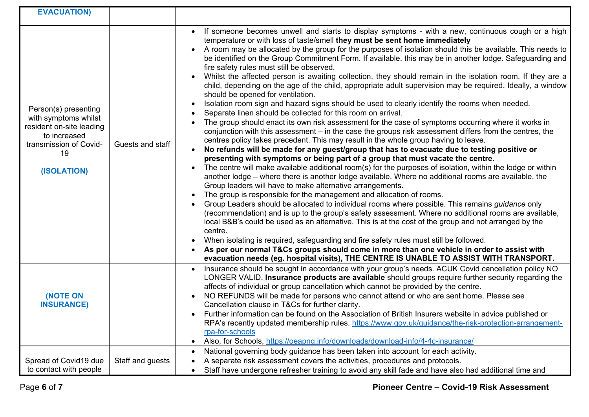| <b>EVACUATION)</b>                                                                                                                      |                  |                                                                                                                                                                                                                                                                                                                                                                                                                                                                                                                                                                                                                                                                                                                                                                                                                                                                                                                                                                                                                                                                                                                                                                                                                                                                                                                                                                                                                                                                                                                                                                                                                                                                                                                                                                                                                                                                                                                                                                                                                                                                                                                                                                                                                                                                                                                                                                                                           |
|-----------------------------------------------------------------------------------------------------------------------------------------|------------------|-----------------------------------------------------------------------------------------------------------------------------------------------------------------------------------------------------------------------------------------------------------------------------------------------------------------------------------------------------------------------------------------------------------------------------------------------------------------------------------------------------------------------------------------------------------------------------------------------------------------------------------------------------------------------------------------------------------------------------------------------------------------------------------------------------------------------------------------------------------------------------------------------------------------------------------------------------------------------------------------------------------------------------------------------------------------------------------------------------------------------------------------------------------------------------------------------------------------------------------------------------------------------------------------------------------------------------------------------------------------------------------------------------------------------------------------------------------------------------------------------------------------------------------------------------------------------------------------------------------------------------------------------------------------------------------------------------------------------------------------------------------------------------------------------------------------------------------------------------------------------------------------------------------------------------------------------------------------------------------------------------------------------------------------------------------------------------------------------------------------------------------------------------------------------------------------------------------------------------------------------------------------------------------------------------------------------------------------------------------------------------------------------------------|
| Person(s) presenting<br>with symptoms whilst<br>resident on-site leading<br>to increased<br>transmission of Covid-<br>19<br>(ISOLATION) | Guests and staff | If someone becomes unwell and starts to display symptoms - with a new, continuous cough or a high<br>temperature or with loss of taste/smell they must be sent home immediately<br>A room may be allocated by the group for the purposes of isolation should this be available. This needs to<br>be identified on the Group Commitment Form. If available, this may be in another lodge. Safeguarding and<br>fire safety rules must still be observed.<br>Whilst the affected person is awaiting collection, they should remain in the isolation room. If they are a<br>child, depending on the age of the child, appropriate adult supervision may be required. Ideally, a window<br>should be opened for ventilation.<br>Isolation room sign and hazard signs should be used to clearly identify the rooms when needed.<br>$\bullet$<br>Separate linen should be collected for this room on arrival.<br>The group should enact its own risk assessment for the case of symptoms occurring where it works in<br>$\bullet$<br>conjunction with this assessment - in the case the groups risk assessment differs from the centres, the<br>centres policy takes precedent. This may result in the whole group having to leave.<br>No refunds will be made for any guest/group that has to evacuate due to testing positive or<br>$\bullet$<br>presenting with symptoms or being part of a group that must vacate the centre.<br>The centre will make available additional room(s) for the purposes of isolation, within the lodge or within<br>another lodge - where there is another lodge available. Where no additional rooms are available, the<br>Group leaders will have to make alternative arrangements.<br>The group is responsible for the management and allocation of rooms.<br>Group Leaders should be allocated to individual rooms where possible. This remains guidance only<br>(recommendation) and is up to the group's safety assessment. Where no additional rooms are available,<br>local B&B's could be used as an alternative. This is at the cost of the group and not arranged by the<br>centre.<br>When isolating is required, safeguarding and fire safety rules must still be followed.<br>As per our normal T&Cs groups should come in more than one vehicle in order to assist with<br>evacuation needs (eg. hospital visits), THE CENTRE IS UNABLE TO ASSIST WITH TRANSPORT. |
| <b>(NOTE ON</b><br><b>INSURANCE)</b>                                                                                                    |                  | Insurance should be sought in accordance with your group's needs. ACUK Covid cancellation policy NO<br>LONGER VALID. Insurance products are available should groups require further security regarding the<br>affects of individual or group cancellation which cannot be provided by the centre.<br>NO REFUNDS will be made for persons who cannot attend or who are sent home. Please see<br>Cancellation clause in T&Cs for further clarity.<br>Further information can be found on the Association of British Insurers website in advice published or<br>$\bullet$<br>RPA's recently updated membership rules. https://www.gov.uk/guidance/the-risk-protection-arrangement-<br>rpa-for-schools<br>Also, for Schools, https://oeapng.info/downloads/download-info/4-4c-insurance/<br>$\bullet$                                                                                                                                                                                                                                                                                                                                                                                                                                                                                                                                                                                                                                                                                                                                                                                                                                                                                                                                                                                                                                                                                                                                                                                                                                                                                                                                                                                                                                                                                                                                                                                                         |
| Spread of Covid19 due<br>to contact with people                                                                                         | Staff and guests | National governing body guidance has been taken into account for each activity.<br>$\bullet$<br>A separate risk assessment covers the activities, procedures and protocols.<br>$\bullet$<br>Staff have undergone refresher training to avoid any skill fade and have also had additional time and<br>$\bullet$                                                                                                                                                                                                                                                                                                                                                                                                                                                                                                                                                                                                                                                                                                                                                                                                                                                                                                                                                                                                                                                                                                                                                                                                                                                                                                                                                                                                                                                                                                                                                                                                                                                                                                                                                                                                                                                                                                                                                                                                                                                                                            |